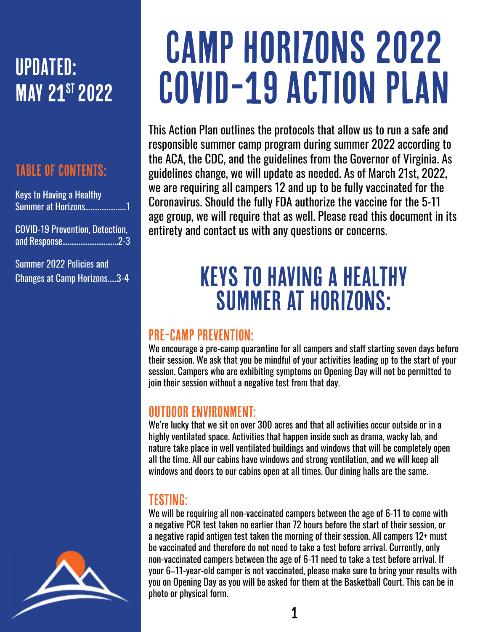## UPDATED: **MAY 21<sup>ST</sup> 2022**

#### Table of contents:

Keys to Having a Healthy Summer at Horizons.......................1

COVID-19 Prevention, Detection, and Response...............................2-3

Summer 2022 Policies and Changes at Camp Horizons.....3-4



# Camp Horizons 2022 COVID-19 Action Plan

This Action Plan outlines the protocols that allow us to run a safe and responsible summer camp program during summer 2022 according to the ACA, the CDC, and the guidelines from the Governor of Virginia. As guidelines change, we will update as needed. As of March 21st, 2022, we are requiring all campers 12 and up to be fully vaccinated for the Coronavirus. Should the fully FDA authorize the vaccine for the 5-11 age group, we will require that as well. Please read this document in its entirety and contact us with any questions or concerns.

## Keys to having a healthy Summer at Horizons:

#### Pre-camp Prevention:

We encourage a pre-camp quarantine for all campers and staff starting seven days before their session. We ask that you be mindful of your activities leading up to the start of your session. Campers who are exhibiting symptoms on Opening Day will not be permitted to join their session without a negative test from that day.

#### OUTDOOR ENVIRONMENT:

We're lucky that we sit on over 300 acres and that all activities occur outside or in a highly ventilated space. Activities that happen inside such as drama, wacky lab, and nature take place in well ventilated buildings and windows that will be completely open all the time. All our cabins have windows and strong ventilation, and we will keep all windows and doors to our cabins open at all times. Our dining halls are the same.

#### Testing:

We will be requiring all non-vaccinated campers between the age of 6-11 to come with a negative PCR test taken no earlier than 72 hours before the start of their session, or a negative rapid antigen test taken the morning of their session. All campers 12+ must be vaccinated and therefore do not need to take a test before arrival. Currently, only non-vaccinated campers between the age of 6-11 need to take a test before arrival. If your 6–11-year-old camper is not vaccinated, please make sure to bring your results with you on Opening Day as you will be asked for them at the Basketball Court. This can be in photo or physical form.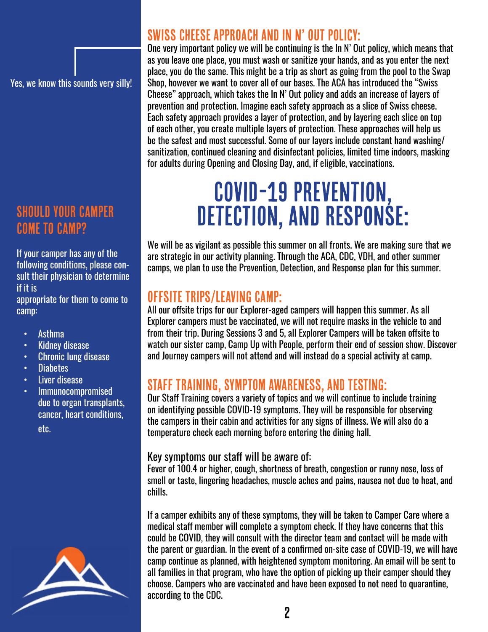Yes, we know this sounds very silly!

#### Should your camper Come to camp?

If your camper has any of the following conditions, please consult their physician to determine if it is

appropriate for them to come to camp:

- Asthma
- Kidney disease
- Chronic lung disease
- Diabetes
- Liver disease
- Immunocompromised due to organ transplants, cancer, heart conditions, etc.



#### Swiss Cheese Approach and In N' Out Policy:

One very important policy we will be continuing is the In N' Out policy, which means that as you leave one place, you must wash or sanitize your hands, and as you enter the next place, you do the same. This might be a trip as short as going from the pool to the Swap Shop, however we want to cover all of our bases. The ACA has introduced the "Swiss Cheese" approach, which takes the In N' Out policy and adds an increase of layers of prevention and protection. Imagine each safety approach as a slice of Swiss cheese. Each safety approach provides a layer of protection, and by layering each slice on top of each other, you create multiple layers of protection. These approaches will help us be the safest and most successful. Some of our layers include constant hand washing/ sanitization, continued cleaning and disinfectant policies, limited time indoors, masking for adults during Opening and Closing Day, and, if eligible, vaccinations.

## COVID-19 Prevention, DETECTION, AND RESPONSE:

We will be as vigilant as possible this summer on all fronts. We are making sure that we are strategic in our activity planning. Through the ACA, CDC, VDH, and other summer camps, we plan to use the Prevention, Detection, and Response plan for this summer.

#### Offsite Trips/Leaving Camp:

All our offsite trips for our Explorer-aged campers will happen this summer. As all Explorer campers must be vaccinated, we will not require masks in the vehicle to and from their trip. During Sessions 3 and 5, all Explorer Campers will be taken offsite to watch our sister camp, Camp Up with People, perform their end of session show. Discover and Journey campers will not attend and will instead do a special activity at camp.

#### Staff Training, Symptom Awareness, and Testing:

Our Staff Training covers a variety of topics and we will continue to include training on identifying possible COVID-19 symptoms. They will be responsible for observing the campers in their cabin and activities for any signs of illness. We will also do a temperature check each morning before entering the dining hall.

#### Key symptoms our staff will be aware of:

Fever of 100.4 or higher, cough, shortness of breath, congestion or runny nose, loss of smell or taste, lingering headaches, muscle aches and pains, nausea not due to heat, and chills.

If a camper exhibits any of these symptoms, they will be taken to Camper Care where a medical staff member will complete a symptom check. If they have concerns that this could be COVID, they will consult with the director team and contact will be made with the parent or guardian. In the event of a confirmed on-site case of COVID-19, we will have camp continue as planned, with heightened symptom monitoring. An email will be sent to all families in that program, who have the option of picking up their camper should they choose. Campers who are vaccinated and have been exposed to not need to quarantine, according to the CDC.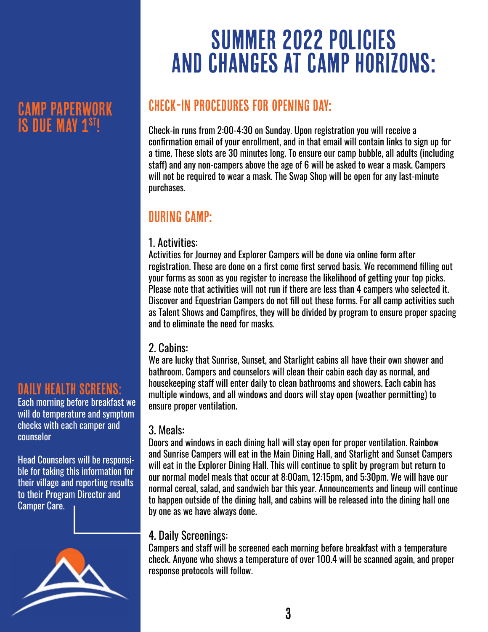### Camp Paperwork IS DUE MAY 1<sup>\$T!</sup>

#### DAILY HEALTH SCREENS:

Each morning before breakfast we will do temperature and symptom checks with each camper and counselor

Head Counselors will be responsible for taking this information for their village and reporting results to their Program Director and Camper Care.



## Summer 2022 Policies And changes at camp horizons:

#### Check-in Procedures for Opening Day:

Check-in runs from 2:00-4:30 on Sunday. Upon registration you will receive a confirmation email of your enrollment, and in that email will contain links to sign up for a time. These slots are 30 minutes long. To ensure our camp bubble, all adults (including staff) and any non-campers above the age of 6 will be asked to wear a mask. Campers will not be required to wear a mask. The Swap Shop will be open for any last-minute purchases.

#### During camp:

#### 1. Activities:

Activities for Journey and Explorer Campers will be done via online form after registration. These are done on a first come first served basis. We recommend filling out your forms as soon as you register to increase the likelihood of getting your top picks. Please note that activities will not run if there are less than 4 campers who selected it. Discover and Equestrian Campers do not fill out these forms. For all camp activities such as Talent Shows and Campfires, they will be divided by program to ensure proper spacing and to eliminate the need for masks.

#### 2. Cabins:

We are lucky that Sunrise, Sunset, and Starlight cabins all have their own shower and bathroom. Campers and counselors will clean their cabin each day as normal, and housekeeping staff will enter daily to clean bathrooms and showers. Each cabin has multiple windows, and all windows and doors will stay open (weather permitting) to ensure proper ventilation.

#### 3. Meals:

Doors and windows in each dining hall will stay open for proper ventilation. Rainbow and Sunrise Campers will eat in the Main Dining Hall, and Starlight and Sunset Campers will eat in the Explorer Dining Hall. This will continue to split by program but return to our normal model meals that occur at 8:00am, 12:15pm, and 5:30pm. We will have our normal cereal, salad, and sandwich bar this year. Announcements and lineup will continue to happen outside of the dining hall, and cabins will be released into the dining hall one by one as we have always done.

#### 4. Daily Screenings:

Campers and staff will be screened each morning before breakfast with a temperature check. Anyone who shows a temperature of over 100.4 will be scanned again, and proper response protocols will follow.